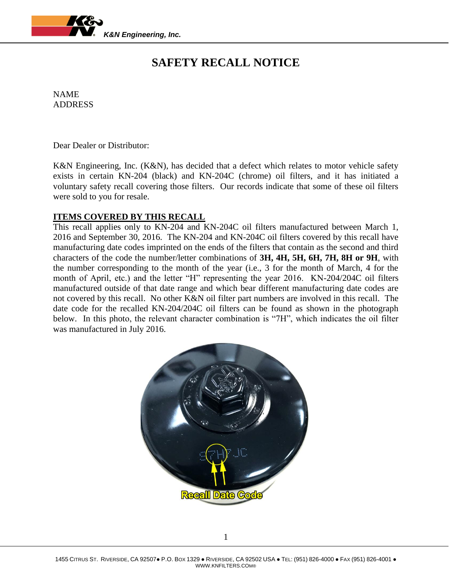

# **SAFETY RECALL NOTICE**

NAME ADDRESS

Dear Dealer or Distributor:

K&N Engineering, Inc. (K&N), has decided that a defect which relates to motor vehicle safety exists in certain KN-204 (black) and KN-204C (chrome) oil filters, and it has initiated a voluntary safety recall covering those filters. Our records indicate that some of these oil filters were sold to you for resale.

## **ITEMS COVERED BY THIS RECALL**

This recall applies only to KN-204 and KN-204C oil filters manufactured between March 1, 2016 and September 30, 2016. The KN-204 and KN-204C oil filters covered by this recall have manufacturing date codes imprinted on the ends of the filters that contain as the second and third characters of the code the number/letter combinations of **3H, 4H, 5H, 6H, 7H, 8H or 9H**, with the number corresponding to the month of the year (i.e., 3 for the month of March, 4 for the month of April, etc.) and the letter "H" representing the year 2016. KN-204/204C oil filters manufactured outside of that date range and which bear different manufacturing date codes are not covered by this recall. No other K&N oil filter part numbers are involved in this recall. The date code for the recalled KN-204/204C oil filters can be found as shown in the photograph below. In this photo, the relevant character combination is "7H", which indicates the oil filter was manufactured in July 2016.